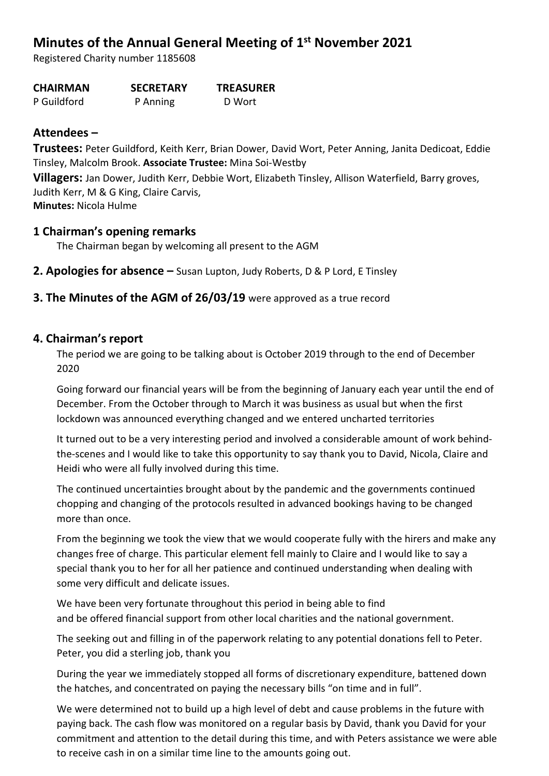# **Minutes of the Annual General Meeting of 1 st November 2021**

Registered Charity number 1185608

**CHAIRMAN SECRETARY TREASURER**

P Guildford P Anning D Wort

# **Attendees –**

**Trustees:** Peter Guildford, Keith Kerr, Brian Dower, David Wort, Peter Anning, Janita Dedicoat, Eddie Tinsley, Malcolm Brook. **Associate Trustee:** Mina Soi-Westby

**Villagers:** Jan Dower, Judith Kerr, Debbie Wort, Elizabeth Tinsley, Allison Waterfield, Barry groves, Judith Kerr, M & G King, Claire Carvis, **Minutes:** Nicola Hulme

# **1 Chairman's opening remarks**

The Chairman began by welcoming all present to the AGM

- **2. Apologies for absence –** Susan Lupton, Judy Roberts, D & P Lord, E Tinsley
- **3. The Minutes of the AGM of 26/03/19** were approved as a true record

# **4. Chairman's report**

The period we are going to be talking about is October 2019 through to the end of December 2020

Going forward our financial years will be from the beginning of January each year until the end of December. From the October through to March it was business as usual but when the first lockdown was announced everything changed and we entered uncharted territories

It turned out to be a very interesting period and involved a considerable amount of work behindthe-scenes and I would like to take this opportunity to say thank you to David, Nicola, Claire and Heidi who were all fully involved during this time.

The continued uncertainties brought about by the pandemic and the governments continued chopping and changing of the protocols resulted in advanced bookings having to be changed more than once.

From the beginning we took the view that we would cooperate fully with the hirers and make any changes free of charge. This particular element fell mainly to Claire and I would like to say a special thank you to her for all her patience and continued understanding when dealing with some very difficult and delicate issues.

We have been very fortunate throughout this period in being able to find and be offered financial support from other local charities and the national government.

The seeking out and filling in of the paperwork relating to any potential donations fell to Peter. Peter, you did a sterling job, thank you

During the year we immediately stopped all forms of discretionary expenditure, battened down the hatches, and concentrated on paying the necessary bills "on time and in full".

We were determined not to build up a high level of debt and cause problems in the future with paying back. The cash flow was monitored on a regular basis by David, thank you David for your commitment and attention to the detail during this time, and with Peters assistance we were able to receive cash in on a similar time line to the amounts going out.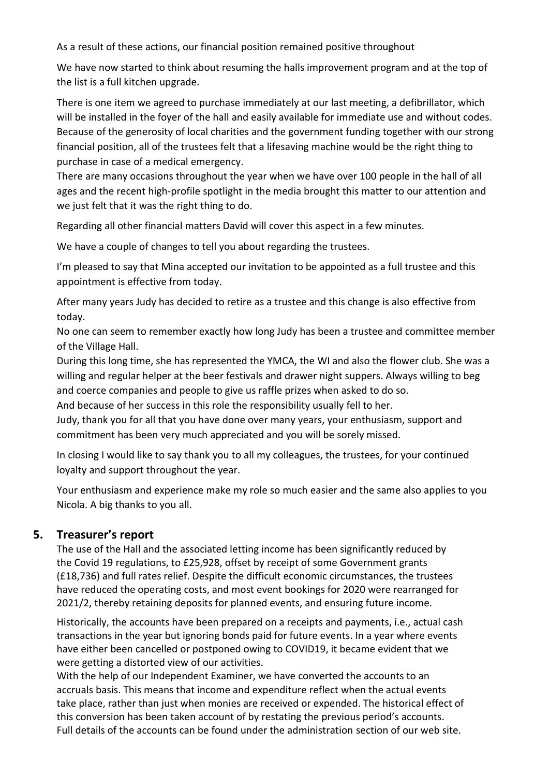As a result of these actions, our financial position remained positive throughout

We have now started to think about resuming the halls improvement program and at the top of the list is a full kitchen upgrade.

There is one item we agreed to purchase immediately at our last meeting, a defibrillator, which will be installed in the foyer of the hall and easily available for immediate use and without codes. Because of the generosity of local charities and the government funding together with our strong financial position, all of the trustees felt that a lifesaving machine would be the right thing to purchase in case of a medical emergency.

There are many occasions throughout the year when we have over 100 people in the hall of all ages and the recent high-profile spotlight in the media brought this matter to our attention and we just felt that it was the right thing to do.

Regarding all other financial matters David will cover this aspect in a few minutes.

We have a couple of changes to tell you about regarding the trustees.

I'm pleased to say that Mina accepted our invitation to be appointed as a full trustee and this appointment is effective from today.

After many years Judy has decided to retire as a trustee and this change is also effective from today.

No one can seem to remember exactly how long Judy has been a trustee and committee member of the Village Hall.

During this long time, she has represented the YMCA, the WI and also the flower club. She was a willing and regular helper at the beer festivals and drawer night suppers. Always willing to beg and coerce companies and people to give us raffle prizes when asked to do so.

And because of her success in this role the responsibility usually fell to her.

Judy, thank you for all that you have done over many years, your enthusiasm, support and commitment has been very much appreciated and you will be sorely missed.

In closing I would like to say thank you to all my colleagues, the trustees, for your continued loyalty and support throughout the year.

Your enthusiasm and experience make my role so much easier and the same also applies to you Nicola. A big thanks to you all.

# **5. Treasurer's report**

The use of the Hall and the associated letting income has been significantly reduced by the Covid 19 regulations, to £25,928, offset by receipt of some Government grants (£18,736) and full rates relief. Despite the difficult economic circumstances, the trustees have reduced the operating costs, and most event bookings for 2020 were rearranged for 2021/2, thereby retaining deposits for planned events, and ensuring future income.

Historically, the accounts have been prepared on a receipts and payments, i.e., actual cash transactions in the year but ignoring bonds paid for future events. In a year where events have either been cancelled or postponed owing to COVID19, it became evident that we were getting a distorted view of our activities.

With the help of our Independent Examiner, we have converted the accounts to an accruals basis. This means that income and expenditure reflect when the actual events take place, rather than just when monies are received or expended. The historical effect of this conversion has been taken account of by restating the previous period's accounts. Full details of the accounts can be found under the administration section of our web site.